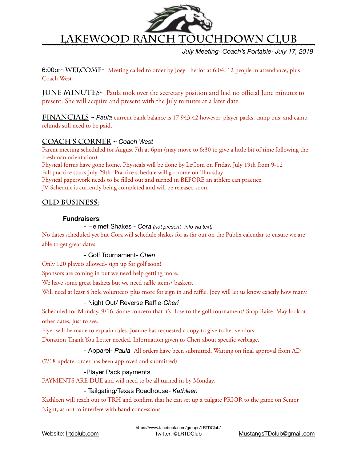

*July Meeting~Coach's Portable~July 17, 2019*

6:00pm WELCOME- Meeting called to order by Joey Theriot at 6:04. 12 people in attendance, plus Coach West

**JUNE MINUTES-** Paula took over the secretary position and had no official June minutes to present. She will acquire and present with the July minutes at a later date.

**Financials** ~ *Paula* current bank balance is 17,943.42 however, player packs, camp bus, and camp refunds still need to be paid.

# **Coach's Corner** ~ *Coach West*

Parent meeting scheduled for August 7th at 6pm (may move to 6:30 to give a little bit of time following the Freshman orientation) Physical forms have gone home. Physicals will be done by LeCom on Friday, July 19th from 9-12 Fall practice starts July 29th- Practice schedule will go home on Thursday. Physical paperwork needs to be flled out and turned in BEFORE an athlete can practice.

JV Schedule is currently being completed and will be released soon.

# **Old Business:**

## **Fundraisers**:

 - Helmet Shakes - *Cora (not present- info via text)* 

No dates scheduled yet but Cora will schedule shakes for as far out on the Publix calendar to ensure we are able to get great dates.

 - Golf Tournament- *Cheri* 

Only 120 players allowed- sign up for golf soon!

Sponsors are coming in but we need help getting more.

We have some great baskets but we need raffle items/ baskets.

Will need at least 8 hole volunteers plus more for sign in and raffle. Joey will let us know exactly how many.

# - Night Out/ Reverse Raffle-*Cheri*

Scheduled for Monday, 9/16. Some concern that it's close to the golf tournament/ Snap Raise. May look at other dates, just to see.

Flyer will be made to explain rules. Joanne has requested a copy to give to her vendors.

Donation Thank You Letter needed. Information given to Cheri about specific verbiage.

 - Apparel- *Paula* All orders have been submitted. Waiting on fnal approval from AD

(7/18 update: order has been approved and submitted). 

 -Player Pack payments

PAYMENTS ARE DUE and will need to be all turned in by Monday.

## - Tailgating/Texas Roadhouse- *Kathleen*

Kathleen will reach out to TRH and confrm that he can set up a tailgate PRIOR to the game on Senior Night, as not to interfere with band concessions.

Website: [lrtdclub.com](http://lrtdclub.com)

<https://www.facebook.com/groups/LRTDClub/>

Twitter: @LRTDClub [MustangsTDclub@gmail.com](mailto:MustangsTDclub@gmail.com)